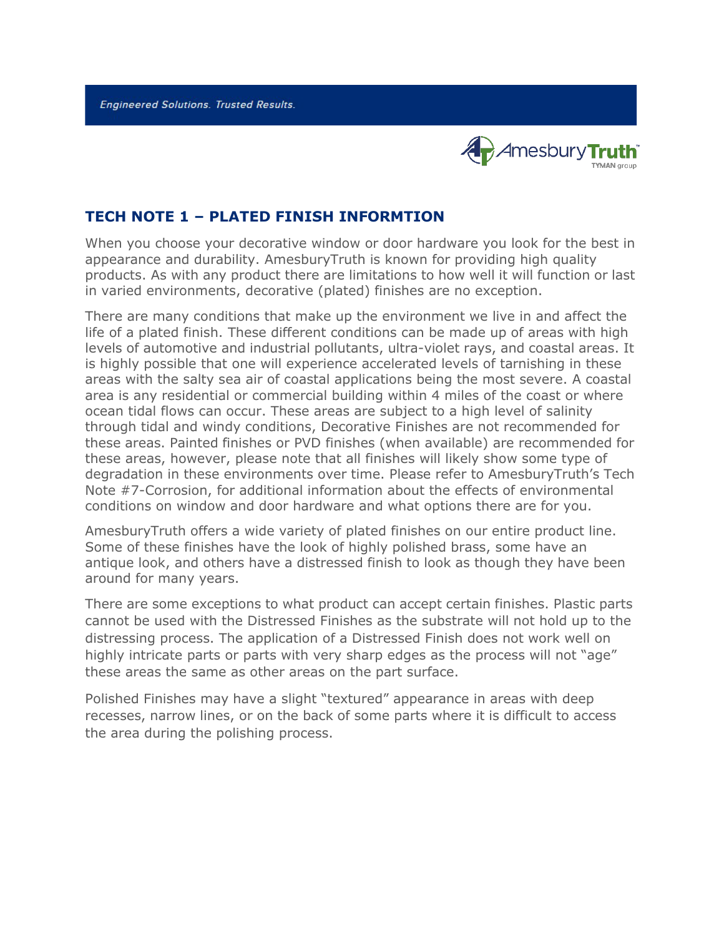**Engineered Solutions. Trusted Results.** 



## **TECH NOTE 1 – PLATED FINISH INFORMTION**

When you choose your decorative window or door hardware you look for the best in appearance and durability. AmesburyTruth is known for providing high quality products. As with any product there are limitations to how well it will function or last in varied environments, decorative (plated) finishes are no exception.

There are many conditions that make up the environment we live in and affect the life of a plated finish. These different conditions can be made up of areas with high levels of automotive and industrial pollutants, ultra-violet rays, and coastal areas. It is highly possible that one will experience accelerated levels of tarnishing in these areas with the salty sea air of coastal applications being the most severe. A coastal area is any residential or commercial building within 4 miles of the coast or where ocean tidal flows can occur. These areas are subject to a high level of salinity through tidal and windy conditions, Decorative Finishes are not recommended for these areas. Painted finishes or PVD finishes (when available) are recommended for these areas, however, please note that all finishes will likely show some type of degradation in these environments over time. Please refer to AmesburyTruth's Tech Note #7-Corrosion, for additional information about the effects of environmental conditions on window and door hardware and what options there are for you.

AmesburyTruth offers a wide variety of plated finishes on our entire product line. Some of these finishes have the look of highly polished brass, some have an antique look, and others have a distressed finish to look as though they have been around for many years.

There are some exceptions to what product can accept certain finishes. Plastic parts cannot be used with the Distressed Finishes as the substrate will not hold up to the distressing process. The application of a Distressed Finish does not work well on highly intricate parts or parts with very sharp edges as the process will not "age" these areas the same as other areas on the part surface.

Polished Finishes may have a slight "textured" appearance in areas with deep recesses, narrow lines, or on the back of some parts where it is difficult to access the area during the polishing process.